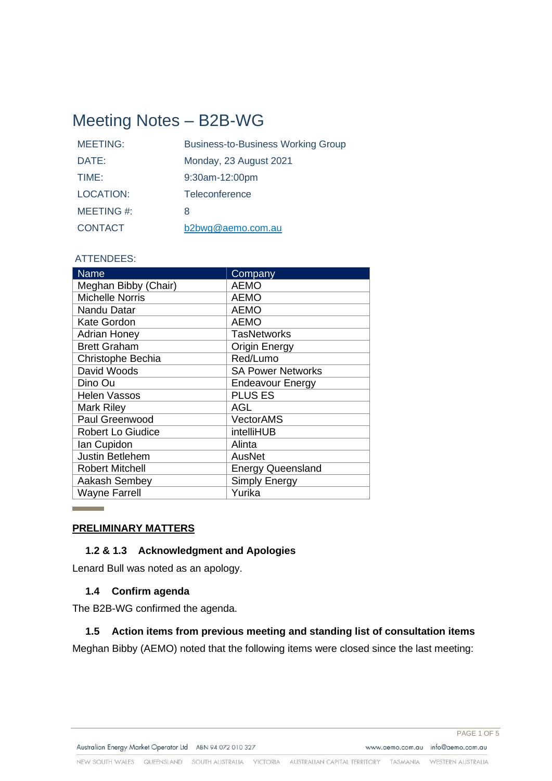# Meeting Notes – B2B-WG

| <b>MEETING:</b>  | <b>Business-to-Business Working Group</b> |
|------------------|-------------------------------------------|
| DATE:            | Monday, 23 August 2021                    |
| TIME:            | 9:30am-12:00pm                            |
| <b>LOCATION:</b> | Teleconference                            |
| MEETING#:        | 8                                         |
| <b>CONTACT</b>   | b2bwg@aemo.com.au                         |

## ATTENDEES:

| <b>Name</b>            | Company                  |
|------------------------|--------------------------|
| Meghan Bibby (Chair)   | <b>AEMO</b>              |
| <b>Michelle Norris</b> | <b>AEMO</b>              |
| Nandu Datar            | <b>AEMO</b>              |
| <b>Kate Gordon</b>     | <b>AEMO</b>              |
| <b>Adrian Honey</b>    | <b>TasNetworks</b>       |
| <b>Brett Graham</b>    | <b>Origin Energy</b>     |
| Christophe Bechia      | Red/Lumo                 |
| David Woods            | <b>SA Power Networks</b> |
| Dino Ou                | <b>Endeavour Energy</b>  |
| <b>Helen Vassos</b>    | <b>PLUS ES</b>           |
| Mark Riley             | AGL                      |
| Paul Greenwood         | <b>VectorAMS</b>         |
| Robert Lo Giudice      | intelliHUB               |
| Ian Cupidon            | Alinta                   |
| <b>Justin Betlehem</b> | <b>AusNet</b>            |
| <b>Robert Mitchell</b> | <b>Energy Queensland</b> |
| Aakash Sembey          | Simply Energy            |
| <b>Wayne Farrell</b>   | Yurika                   |

### **PRELIMINARY MATTERS**

**Contract Contract** 

# **1.2 & 1.3 Acknowledgment and Apologies**

Lenard Bull was noted as an apology.

## **1.4 Confirm agenda**

The B2B-WG confirmed the agenda.

## **1.5 Action items from previous meeting and standing list of consultation items**

Meghan Bibby (AEMO) noted that the following items were closed since the last meeting: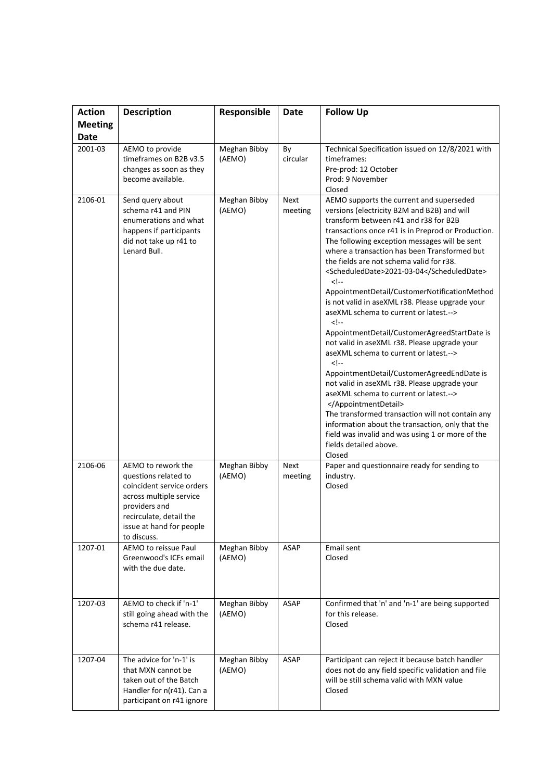| <b>Action</b>  | <b>Description</b>                                                                                                                                                                        | Responsible            | <b>Date</b>            | <b>Follow Up</b>                                                                                                                                                                                                                                                                                                                                                                                                                                                                                                                                                                                                                                                                                                                                                                                                                                                                                                                                                                                                       |  |
|----------------|-------------------------------------------------------------------------------------------------------------------------------------------------------------------------------------------|------------------------|------------------------|------------------------------------------------------------------------------------------------------------------------------------------------------------------------------------------------------------------------------------------------------------------------------------------------------------------------------------------------------------------------------------------------------------------------------------------------------------------------------------------------------------------------------------------------------------------------------------------------------------------------------------------------------------------------------------------------------------------------------------------------------------------------------------------------------------------------------------------------------------------------------------------------------------------------------------------------------------------------------------------------------------------------|--|
| <b>Meeting</b> |                                                                                                                                                                                           |                        |                        |                                                                                                                                                                                                                                                                                                                                                                                                                                                                                                                                                                                                                                                                                                                                                                                                                                                                                                                                                                                                                        |  |
| <b>Date</b>    |                                                                                                                                                                                           |                        |                        |                                                                                                                                                                                                                                                                                                                                                                                                                                                                                                                                                                                                                                                                                                                                                                                                                                                                                                                                                                                                                        |  |
| 2001-03        | AEMO to provide<br>timeframes on B2B v3.5<br>changes as soon as they<br>become available.                                                                                                 | Meghan Bibby<br>(AEMO) | By<br>circular         | Technical Specification issued on 12/8/2021 with<br>timeframes:<br>Pre-prod: 12 October<br>Prod: 9 November<br>Closed                                                                                                                                                                                                                                                                                                                                                                                                                                                                                                                                                                                                                                                                                                                                                                                                                                                                                                  |  |
| 2106-01        | Send query about<br>schema r41 and PIN<br>enumerations and what<br>happens if participants<br>did not take up r41 to<br>Lenard Bull.                                                      | Meghan Bibby<br>(AEMO) | <b>Next</b><br>meeting | AEMO supports the current and superseded<br>versions (electricity B2M and B2B) and will<br>transform between r41 and r38 for B2B<br>transactions once r41 is in Preprod or Production.<br>The following exception messages will be sent<br>where a transaction has been Transformed but<br>the fields are not schema valid for r38.<br><scheduleddate>2021-03-04</scheduleddate><br><br>AppointmentDetail/CustomerNotificationMethod<br>is not valid in aseXML r38. Please upgrade your<br>aseXML schema to current or latest.<br><br>AppointmentDetail/CustomerAgreedStartDate is<br>not valid in aseXML r38. Please upgrade your<br>aseXML schema to current or latest.<br><br>AppointmentDetail/CustomerAgreedEndDate is<br>not valid in aseXML r38. Please upgrade your<br>aseXML schema to current or latest.<br><br>The transformed transaction will not contain any<br>information about the transaction, only that the<br>field was invalid and was using 1 or more of the<br>fields detailed above.<br>Closed |  |
| 2106-06        | AEMO to rework the<br>questions related to<br>coincident service orders<br>across multiple service<br>providers and<br>recirculate, detail the<br>issue at hand for people<br>to discuss. | Meghan Bibby<br>(AEMO) | Next<br>meeting        | Paper and questionnaire ready for sending to<br>industry.<br>Closed                                                                                                                                                                                                                                                                                                                                                                                                                                                                                                                                                                                                                                                                                                                                                                                                                                                                                                                                                    |  |
| 1207-01        | AEMO to reissue Paul<br>Greenwood's ICFs email<br>with the due date.                                                                                                                      | Meghan Bibby<br>(AEMO) | <b>ASAP</b>            | <b>Email sent</b><br>Closed                                                                                                                                                                                                                                                                                                                                                                                                                                                                                                                                                                                                                                                                                                                                                                                                                                                                                                                                                                                            |  |
| 1207-03        | AEMO to check if 'n-1'<br>still going ahead with the<br>schema r41 release.                                                                                                               | Meghan Bibby<br>(AEMO) | <b>ASAP</b>            | Confirmed that 'n' and 'n-1' are being supported<br>for this release.<br>Closed                                                                                                                                                                                                                                                                                                                                                                                                                                                                                                                                                                                                                                                                                                                                                                                                                                                                                                                                        |  |
| 1207-04        | The advice for 'n-1' is<br>that MXN cannot be<br>taken out of the Batch<br>Handler for n(r41). Can a<br>participant on r41 ignore                                                         | Meghan Bibby<br>(AEMO) | <b>ASAP</b>            | Participant can reject it because batch handler<br>does not do any field specific validation and file<br>will be still schema valid with MXN value<br>Closed                                                                                                                                                                                                                                                                                                                                                                                                                                                                                                                                                                                                                                                                                                                                                                                                                                                           |  |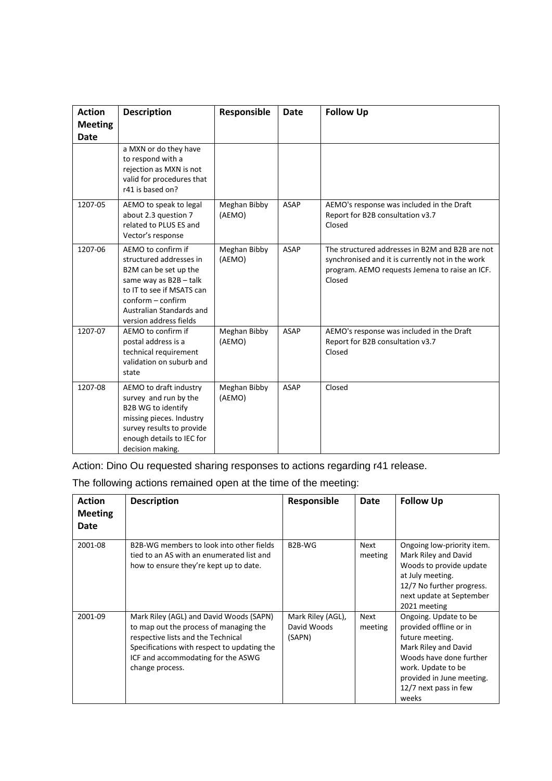| <b>Action</b><br><b>Meeting</b> | <b>Description</b>                                                                                                                                                                                       | Responsible            | <b>Date</b> | <b>Follow Up</b>                                                                                                                                                |
|---------------------------------|----------------------------------------------------------------------------------------------------------------------------------------------------------------------------------------------------------|------------------------|-------------|-----------------------------------------------------------------------------------------------------------------------------------------------------------------|
| <b>Date</b>                     |                                                                                                                                                                                                          |                        |             |                                                                                                                                                                 |
|                                 | a MXN or do they have<br>to respond with a<br>rejection as MXN is not<br>valid for procedures that<br>r41 is based on?                                                                                   |                        |             |                                                                                                                                                                 |
| 1207-05                         | AEMO to speak to legal<br>about 2.3 question 7<br>related to PLUS ES and<br>Vector's response                                                                                                            | Meghan Bibby<br>(AEMO) | <b>ASAP</b> | AEMO's response was included in the Draft<br>Report for B2B consultation v3.7<br>Closed                                                                         |
| 1207-06                         | AEMO to confirm if<br>structured addresses in<br>B2M can be set up the<br>same way as B2B-talk<br>to IT to see if MSATS can<br>$conform - confirm$<br>Australian Standards and<br>version address fields | Meghan Bibby<br>(AEMO) | <b>ASAP</b> | The structured addresses in B2M and B2B are not<br>synchronised and it is currently not in the work<br>program. AEMO requests Jemena to raise an ICF.<br>Closed |
| 1207-07                         | AEMO to confirm if<br>postal address is a<br>technical requirement<br>validation on suburb and<br>state                                                                                                  | Meghan Bibby<br>(AEMO) | <b>ASAP</b> | AEMO's response was included in the Draft<br>Report for B2B consultation v3.7<br>Closed                                                                         |
| 1207-08                         | AEMO to draft industry<br>survey and run by the<br>B2B WG to identify<br>missing pieces. Industry<br>survey results to provide<br>enough details to IEC for<br>decision making.                          | Meghan Bibby<br>(AEMO) | <b>ASAP</b> | Closed                                                                                                                                                          |

Action: Dino Ou requested sharing responses to actions regarding r41 release.

The following actions remained open at the time of the meeting:

| <b>Action</b><br><b>Meeting</b><br>Date | <b>Description</b>                                                                                                                                                                                                              | Responsible                                | Date            | <b>Follow Up</b>                                                                                                                                                                                           |
|-----------------------------------------|---------------------------------------------------------------------------------------------------------------------------------------------------------------------------------------------------------------------------------|--------------------------------------------|-----------------|------------------------------------------------------------------------------------------------------------------------------------------------------------------------------------------------------------|
| 2001-08                                 | B2B-WG members to look into other fields<br>tied to an AS with an enumerated list and<br>how to ensure they're kept up to date.                                                                                                 | B <sub>2</sub> B-WG                        | Next<br>meeting | Ongoing low-priority item.<br>Mark Riley and David<br>Woods to provide update<br>at July meeting.<br>12/7 No further progress.<br>next update at September<br>2021 meeting                                 |
| 2001-09                                 | Mark Riley (AGL) and David Woods (SAPN)<br>to map out the process of managing the<br>respective lists and the Technical<br>Specifications with respect to updating the<br>ICF and accommodating for the ASWG<br>change process. | Mark Riley (AGL),<br>David Woods<br>(SAPN) | Next<br>meeting | Ongoing. Update to be<br>provided offline or in<br>future meeting.<br>Mark Riley and David<br>Woods have done further<br>work. Update to be<br>provided in June meeting.<br>12/7 next pass in few<br>weeks |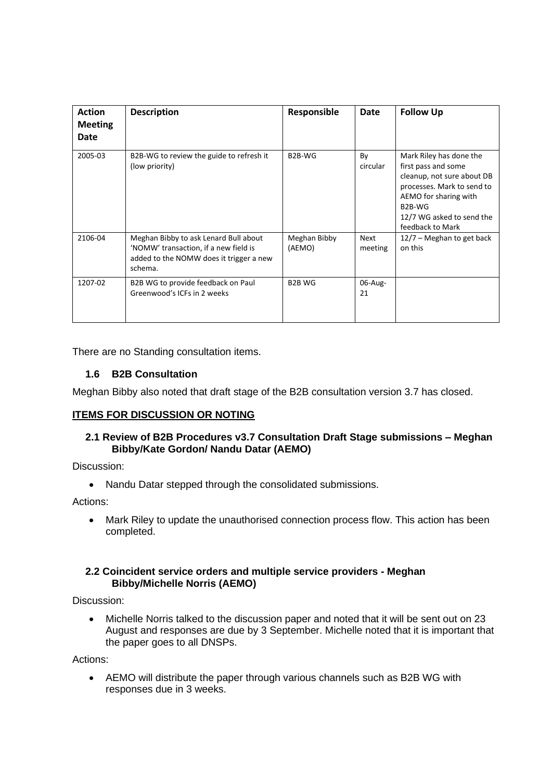| <b>Action</b><br><b>Meeting</b><br>Date | <b>Description</b>                                                                                                                   | Responsible            | Date                   | <b>Follow Up</b>                                                                                                                                                                                            |
|-----------------------------------------|--------------------------------------------------------------------------------------------------------------------------------------|------------------------|------------------------|-------------------------------------------------------------------------------------------------------------------------------------------------------------------------------------------------------------|
| 2005-03                                 | B2B-WG to review the guide to refresh it<br>(low priority)                                                                           | B <sub>2</sub> B-WG    | By<br>circular         | Mark Riley has done the<br>first pass and some<br>cleanup, not sure about DB<br>processes. Mark to send to<br>AEMO for sharing with<br>B <sub>2</sub> B-WG<br>12/7 WG asked to send the<br>feedback to Mark |
| 2106-04                                 | Meghan Bibby to ask Lenard Bull about<br>'NOMW' transaction, if a new field is<br>added to the NOMW does it trigger a new<br>schema. | Meghan Bibby<br>(AEMO) | <b>Next</b><br>meeting | 12/7 – Meghan to get back<br>on this                                                                                                                                                                        |
| 1207-02                                 | B2B WG to provide feedback on Paul<br>Greenwood's ICFs in 2 weeks                                                                    | <b>B2B WG</b>          | 06-Aug-<br>21          |                                                                                                                                                                                                             |

There are no Standing consultation items.

# **1.6 B2B Consultation**

Meghan Bibby also noted that draft stage of the B2B consultation version 3.7 has closed.

# **ITEMS FOR DISCUSSION OR NOTING**

## **2.1 Review of B2B Procedures v3.7 Consultation Draft Stage submissions – Meghan Bibby/Kate Gordon/ Nandu Datar (AEMO)**

Discussion:

• Nandu Datar stepped through the consolidated submissions.

Actions:

• Mark Riley to update the unauthorised connection process flow. This action has been completed.

### **2.2 Coincident service orders and multiple service providers - Meghan Bibby/Michelle Norris (AEMO)**

Discussion:

• Michelle Norris talked to the discussion paper and noted that it will be sent out on 23 August and responses are due by 3 September. Michelle noted that it is important that the paper goes to all DNSPs.

Actions:

• AEMO will distribute the paper through various channels such as B2B WG with responses due in 3 weeks.